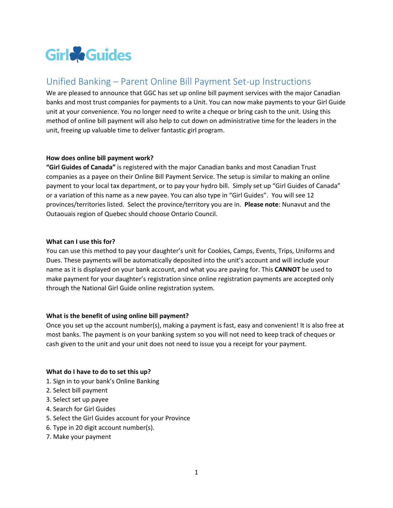

# Unified Banking – Parent Online Bill Payment Set-up Instructions

We are pleased to announce that GGC has set up online bill payment services with the major Canadian banks and most trust companies for payments to a Unit. You can now make payments to your Girl Guide unit at your convenience. You no longer need to write a cheque or bring cash to the unit. Using this method of online bill payment will also help to cut down on administrative time for the leaders in the unit, freeing up valuable time to deliver fantastic girl program.

### **How does online bill payment work?**

**"Girl Guides of Canada"** is registered with the major Canadian banks and most Canadian Trust companies as a payee on their Online Bill Payment Service. The setup is similar to making an online payment to your local tax department, or to pay your hydro bill. Simply set up "Girl Guides of Canada" or a variation of this name as a new payee. You can also type in "Girl Guides". You will see 12 provinces/territories listed. Select the province/territory you are in. **Please note**: Nunavut and the Outaouais region of Quebec should choose Ontario Council.

## **What can I use this for?**

You can use this method to pay your daughter's unit for Cookies, Camps, Events, Trips, Uniforms and Dues. These payments will be automatically deposited into the unit's account and will include your name as it is displayed on your bank account, and what you are paying for. This **CANNOT** be used to make payment for your daughter's registration since online registration payments are accepted only through the National Girl Guide online registration system.

### **What is the benefit of using online bill payment?**

Once you set up the account number(s), making a payment is fast, easy and convenient! It is also free at most banks. The payment is on your banking system so you will not need to keep track of cheques or cash given to the unit and your unit does not need to issue you a receipt for your payment.

### **What do I have to do to set this up?**

- 1. Sign in to your bank's Online Banking
- 2. Select bill payment
- 3. Select set up payee
- 4. Search for Girl Guides
- 5. Select the Girl Guides account for your Province
- 6. Type in 20 digit account number(s).
- 7. Make your payment